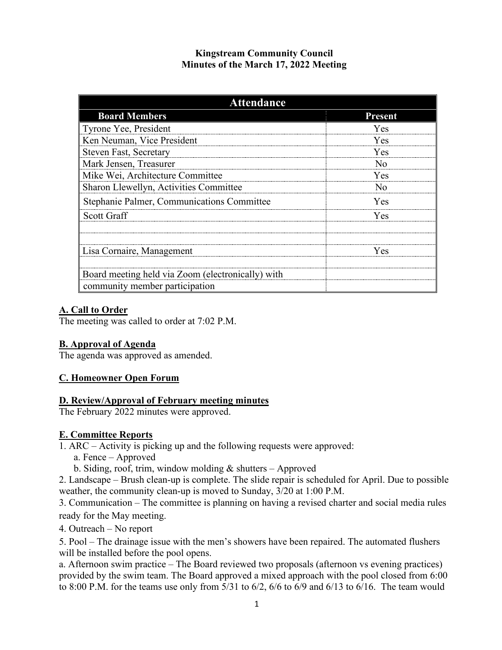# **Kingstream Community Council Minutes of the March 17, 2022 Meeting**

| <b>Attendance</b>                                 |                         |
|---------------------------------------------------|-------------------------|
| <b>Board Members</b>                              | <b>Present</b>          |
| Tyrone Yee, President                             | Yes                     |
| Ken Neuman, Vice President                        | <b>Yes</b>              |
| <b>Steven Fast, Secretary</b>                     | <b>Yes</b>              |
| Mark Jensen, Treasurer                            | N <sub>0</sub>          |
| Mike Wei, Architecture Committee                  | <b>Yes</b>              |
| Sharon Llewellyn, Activities Committee            | $\overline{N}_{\Omega}$ |
| Stephanie Palmer, Communications Committee        | <b>Yes</b>              |
| <b>Scott Graff</b>                                | <b>Yes</b>              |
|                                                   |                         |
| Lisa Cornaire, Management                         | <b>Yes</b>              |
| Board meeting held via Zoom (electronically) with |                         |
| community member participation                    |                         |

## **A. Call to Order**

The meeting was called to order at 7:02 P.M.

## **B. Approval of Agenda**

The agenda was approved as amended.

#### **C. Homeowner Open Forum**

#### **D. Review/Approval of February meeting minutes**

The February 2022 minutes were approved.

#### **E. Committee Reports**

1. ARC – Activity is picking up and the following requests were approved:

a. Fence – Approved

b. Siding, roof, trim, window molding  $&$  shutters – Approved

2. Landscape – Brush clean-up is complete. The slide repair is scheduled for April. Due to possible weather, the community clean-up is moved to Sunday, 3/20 at 1:00 P.M.

3. Communication – The committee is planning on having a revised charter and social media rules ready for the May meeting.

4. Outreach – No report

5. Pool – The drainage issue with the men's showers have been repaired. The automated flushers will be installed before the pool opens.

a. Afternoon swim practice – The Board reviewed two proposals (afternoon vs evening practices) provided by the swim team. The Board approved a mixed approach with the pool closed from 6:00 to 8:00 P.M. for the teams use only from 5/31 to 6/2, 6/6 to 6/9 and 6/13 to 6/16. The team would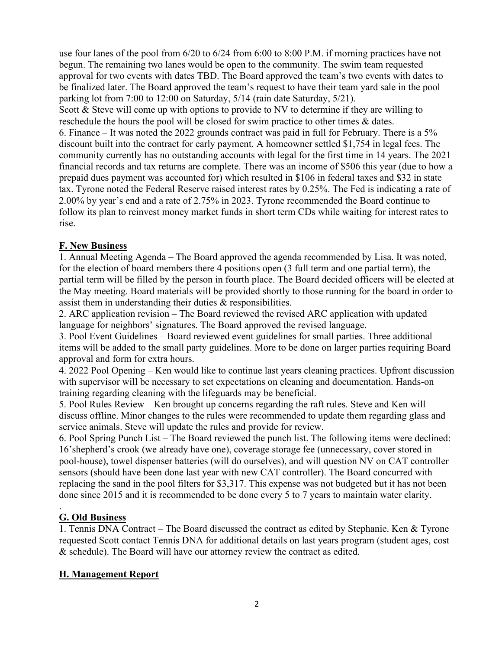use four lanes of the pool from 6/20 to 6/24 from 6:00 to 8:00 P.M. if morning practices have not begun. The remaining two lanes would be open to the community. The swim team requested approval for two events with dates TBD. The Board approved the team's two events with dates to be finalized later. The Board approved the team's request to have their team yard sale in the pool parking lot from 7:00 to 12:00 on Saturday, 5/14 (rain date Saturday, 5/21). Scott & Steve will come up with options to provide to NV to determine if they are willing to reschedule the hours the pool will be closed for swim practice to other times & dates. 6. Finance – It was noted the 2022 grounds contract was paid in full for February. There is a 5% discount built into the contract for early payment. A homeowner settled \$1,754 in legal fees. The community currently has no outstanding accounts with legal for the first time in 14 years. The 2021 financial records and tax returns are complete. There was an income of \$506 this year (due to how a prepaid dues payment was accounted for) which resulted in \$106 in federal taxes and \$32 in state tax. Tyrone noted the Federal Reserve raised interest rates by 0.25%. The Fed is indicating a rate of 2.00% by year's end and a rate of 2.75% in 2023. Tyrone recommended the Board continue to follow its plan to reinvest money market funds in short term CDs while waiting for interest rates to rise.

## **F. New Business**

1. Annual Meeting Agenda – The Board approved the agenda recommended by Lisa. It was noted, for the election of board members there 4 positions open (3 full term and one partial term), the partial term will be filled by the person in fourth place. The Board decided officers will be elected at the May meeting. Board materials will be provided shortly to those running for the board in order to assist them in understanding their duties & responsibilities.

2. ARC application revision – The Board reviewed the revised ARC application with updated language for neighbors' signatures. The Board approved the revised language.

3. Pool Event Guidelines – Board reviewed event guidelines for small parties. Three additional items will be added to the small party guidelines. More to be done on larger parties requiring Board approval and form for extra hours.

4. 2022 Pool Opening – Ken would like to continue last years cleaning practices. Upfront discussion with supervisor will be necessary to set expectations on cleaning and documentation. Hands-on training regarding cleaning with the lifeguards may be beneficial.

5. Pool Rules Review – Ken brought up concerns regarding the raft rules. Steve and Ken will discuss offline. Minor changes to the rules were recommended to update them regarding glass and service animals. Steve will update the rules and provide for review.

6. Pool Spring Punch List – The Board reviewed the punch list. The following items were declined: 16'shepherd's crook (we already have one), coverage storage fee (unnecessary, cover stored in pool-house), towel dispenser batteries (will do ourselves), and will question NV on CAT controller sensors (should have been done last year with new CAT controller). The Board concurred with replacing the sand in the pool filters for \$3,317. This expense was not budgeted but it has not been done since 2015 and it is recommended to be done every 5 to 7 years to maintain water clarity.

#### . **G. Old Business**

1. Tennis DNA Contract – The Board discussed the contract as edited by Stephanie. Ken & Tyrone requested Scott contact Tennis DNA for additional details on last years program (student ages, cost & schedule). The Board will have our attorney review the contract as edited.

## **H. Management Report**